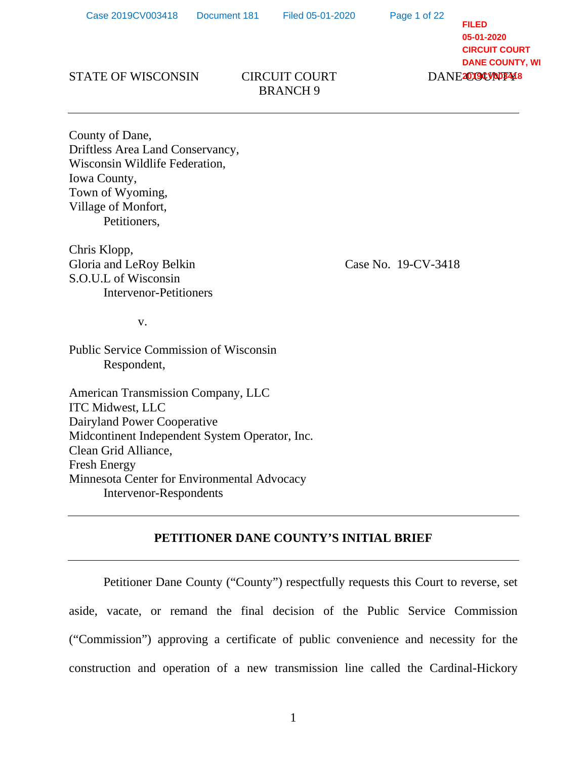Page 1 of 22

**FILED 05-01-2020 CIRCUIT COURT DANE COUNTY, WI** DANE<sup>2019CV005418</sup>

#### STATE OF WISCONSIN CIRCUIT COURT

# BRANCH 9

County of Dane, Driftless Area Land Conservancy, Wisconsin Wildlife Federation, Iowa County, Town of Wyoming, Village of Monfort, Petitioners,

Chris Klopp, Gloria and LeRoy Belkin Case No. 19-CV-3418 S.O.U.L of Wisconsin Intervenor-Petitioners

v.

Public Service Commission of Wisconsin Respondent,

American Transmission Company, LLC ITC Midwest, LLC Dairyland Power Cooperative Midcontinent Independent System Operator, Inc. Clean Grid Alliance, Fresh Energy Minnesota Center for Environmental Advocacy Intervenor-Respondents

## **PETITIONER DANE COUNTY'S INITIAL BRIEF**

Petitioner Dane County ("County") respectfully requests this Court to reverse, set aside, vacate, or remand the final decision of the Public Service Commission ("Commission") approving a certificate of public convenience and necessity for the construction and operation of a new transmission line called the Cardinal-Hickory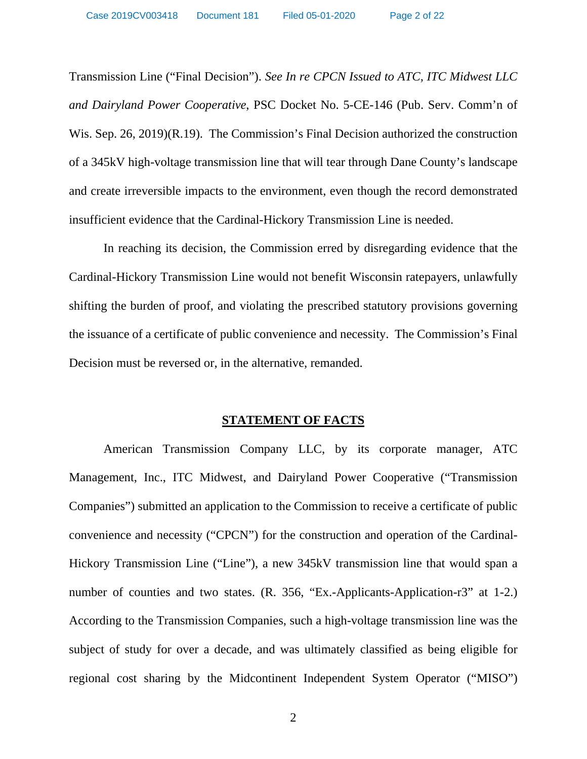Transmission Line ("Final Decision"). *See In re CPCN Issued to ATC, ITC Midwest LLC and Dairyland Power Cooperative*, PSC Docket No. 5-CE-146 (Pub. Serv. Comm'n of Wis. Sep. 26, 2019)(R.19). The Commission's Final Decision authorized the construction of a 345kV high-voltage transmission line that will tear through Dane County's landscape and create irreversible impacts to the environment, even though the record demonstrated insufficient evidence that the Cardinal-Hickory Transmission Line is needed.

In reaching its decision, the Commission erred by disregarding evidence that the Cardinal-Hickory Transmission Line would not benefit Wisconsin ratepayers, unlawfully shifting the burden of proof, and violating the prescribed statutory provisions governing the issuance of a certificate of public convenience and necessity. The Commission's Final Decision must be reversed or, in the alternative, remanded.

#### **STATEMENT OF FACTS**

American Transmission Company LLC, by its corporate manager, ATC Management, Inc., ITC Midwest, and Dairyland Power Cooperative ("Transmission Companies") submitted an application to the Commission to receive a certificate of public convenience and necessity ("CPCN") for the construction and operation of the Cardinal-Hickory Transmission Line ("Line"), a new 345kV transmission line that would span a number of counties and two states. (R. 356, "Ex.-Applicants-Application-r3" at 1-2.) According to the Transmission Companies, such a high-voltage transmission line was the subject of study for over a decade, and was ultimately classified as being eligible for regional cost sharing by the Midcontinent Independent System Operator ("MISO")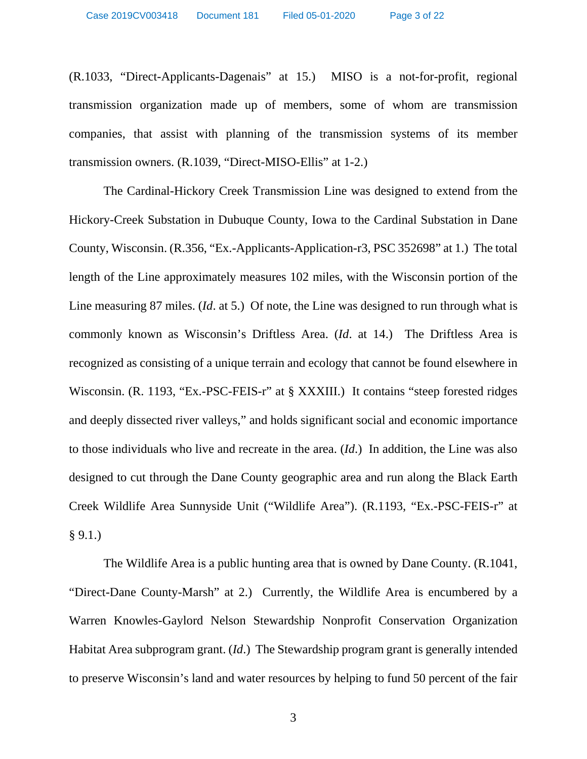(R.1033, "Direct-Applicants-Dagenais" at 15.) MISO is a not-for-profit, regional transmission organization made up of members, some of whom are transmission companies, that assist with planning of the transmission systems of its member transmission owners. (R.1039, "Direct-MISO-Ellis" at 1-2.)

The Cardinal-Hickory Creek Transmission Line was designed to extend from the Hickory-Creek Substation in Dubuque County, Iowa to the Cardinal Substation in Dane County, Wisconsin. (R.356, "Ex.-Applicants-Application-r3, PSC 352698" at 1.) The total length of the Line approximately measures 102 miles, with the Wisconsin portion of the Line measuring 87 miles. (*Id*. at 5.) Of note, the Line was designed to run through what is commonly known as Wisconsin's Driftless Area. (*Id*. at 14.) The Driftless Area is recognized as consisting of a unique terrain and ecology that cannot be found elsewhere in Wisconsin. (R. 1193, "Ex.-PSC-FEIS-r" at § XXXIII.) It contains "steep forested ridges and deeply dissected river valleys," and holds significant social and economic importance to those individuals who live and recreate in the area. (*Id*.) In addition, the Line was also designed to cut through the Dane County geographic area and run along the Black Earth Creek Wildlife Area Sunnyside Unit ("Wildlife Area"). (R.1193, "Ex.-PSC-FEIS-r" at  $§ 9.1.$ 

The Wildlife Area is a public hunting area that is owned by Dane County. (R.1041, "Direct-Dane County-Marsh" at 2.) Currently, the Wildlife Area is encumbered by a Warren Knowles-Gaylord Nelson Stewardship Nonprofit Conservation Organization Habitat Area subprogram grant. (*Id*.) The Stewardship program grant is generally intended to preserve Wisconsin's land and water resources by helping to fund 50 percent of the fair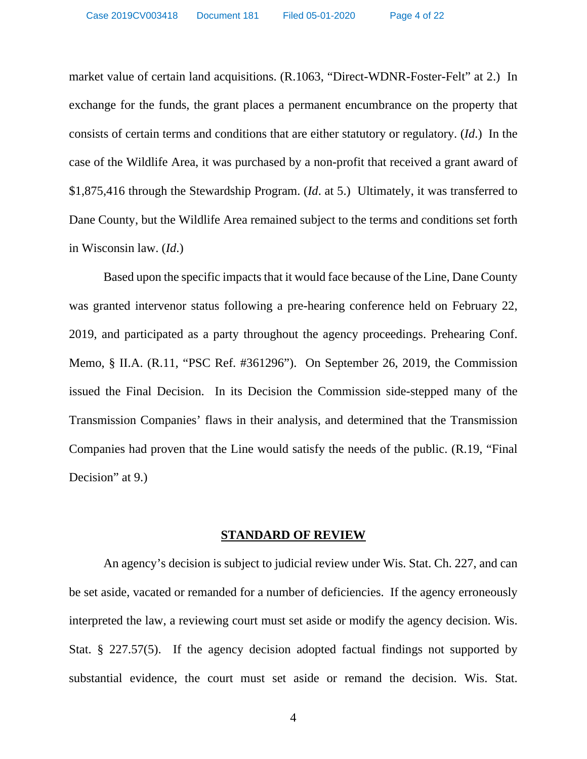market value of certain land acquisitions. (R.1063, "Direct-WDNR-Foster-Felt" at 2.) In exchange for the funds, the grant places a permanent encumbrance on the property that consists of certain terms and conditions that are either statutory or regulatory. (*Id*.) In the case of the Wildlife Area, it was purchased by a non-profit that received a grant award of \$1,875,416 through the Stewardship Program. (*Id*. at 5.) Ultimately, it was transferred to Dane County, but the Wildlife Area remained subject to the terms and conditions set forth in Wisconsin law. (*Id*.)

Based upon the specific impacts that it would face because of the Line, Dane County was granted intervenor status following a pre-hearing conference held on February 22, 2019, and participated as a party throughout the agency proceedings. Prehearing Conf. Memo, § II.A. (R.11, "PSC Ref. #361296"). On September 26, 2019, the Commission issued the Final Decision. In its Decision the Commission side-stepped many of the Transmission Companies' flaws in their analysis, and determined that the Transmission Companies had proven that the Line would satisfy the needs of the public. (R.19, "Final Decision" at 9.)

#### **STANDARD OF REVIEW**

An agency's decision is subject to judicial review under Wis. Stat. Ch. 227, and can be set aside, vacated or remanded for a number of deficiencies. If the agency erroneously interpreted the law, a reviewing court must set aside or modify the agency decision. Wis. Stat. § 227.57(5). If the agency decision adopted factual findings not supported by substantial evidence, the court must set aside or remand the decision. Wis. Stat.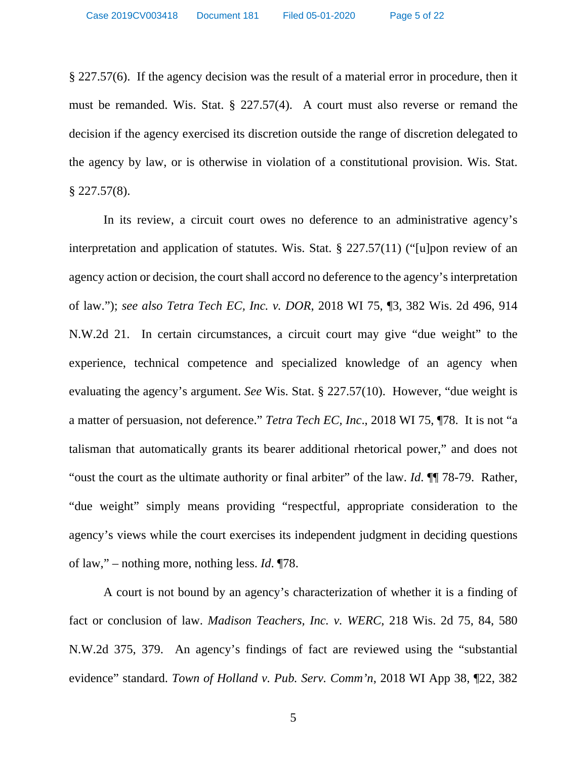§ 227.57(6). If the agency decision was the result of a material error in procedure, then it must be remanded. Wis. Stat. § 227.57(4). A court must also reverse or remand the decision if the agency exercised its discretion outside the range of discretion delegated to the agency by law, or is otherwise in violation of a constitutional provision. Wis. Stat.  $§$  227.57(8).

In its review, a circuit court owes no deference to an administrative agency's interpretation and application of statutes. Wis. Stat. § 227.57(11) ("[u]pon review of an agency action or decision, the court shall accord no deference to the agency's interpretation of law."); *see also Tetra Tech EC, Inc. v. DOR*, 2018 WI 75, ¶3, 382 Wis. 2d 496, 914 N.W.2d 21. In certain circumstances, a circuit court may give "due weight" to the experience, technical competence and specialized knowledge of an agency when evaluating the agency's argument. *See* Wis. Stat. § 227.57(10). However, "due weight is a matter of persuasion, not deference." *Tetra Tech EC, Inc*., 2018 WI 75, ¶78. It is not "a talisman that automatically grants its bearer additional rhetorical power," and does not "oust the court as the ultimate authority or final arbiter" of the law. *Id*. ¶¶ 78-79. Rather, "due weight" simply means providing "respectful, appropriate consideration to the agency's views while the court exercises its independent judgment in deciding questions of law," – nothing more, nothing less. *Id*. ¶78.

A court is not bound by an agency's characterization of whether it is a finding of fact or conclusion of law. *Madison Teachers, Inc. v. WERC*, 218 Wis. 2d 75, 84, 580 N.W.2d 375, 379. An agency's findings of fact are reviewed using the "substantial evidence" standard. *Town of Holland v. Pub. Serv. Comm'n*, 2018 WI App 38, ¶22, 382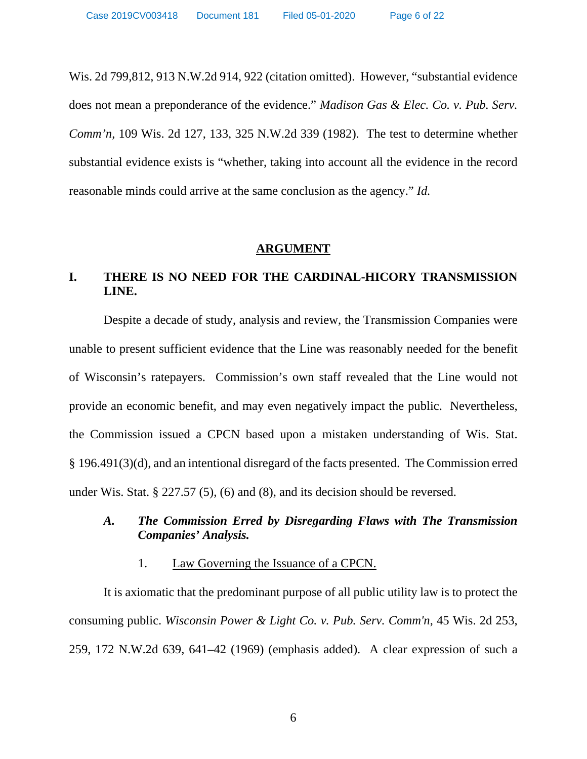Wis. 2d 799,812, 913 N.W.2d 914, 922 (citation omitted). However, "substantial evidence does not mean a preponderance of the evidence." *Madison Gas & Elec. Co. v. Pub. Serv. Comm'n*, 109 Wis. 2d 127, 133, 325 N.W.2d 339 (1982). The test to determine whether substantial evidence exists is "whether, taking into account all the evidence in the record reasonable minds could arrive at the same conclusion as the agency." *Id.* 

#### **ARGUMENT**

# **I. THERE IS NO NEED FOR THE CARDINAL-HICORY TRANSMISSION LINE.**

Despite a decade of study, analysis and review, the Transmission Companies were unable to present sufficient evidence that the Line was reasonably needed for the benefit of Wisconsin's ratepayers. Commission's own staff revealed that the Line would not provide an economic benefit, and may even negatively impact the public. Nevertheless, the Commission issued a CPCN based upon a mistaken understanding of Wis. Stat. § 196.491(3)(d), and an intentional disregard of the facts presented. The Commission erred under Wis. Stat. § 227.57 (5), (6) and (8), and its decision should be reversed.

# *A. The Commission Erred by Disregarding Flaws with The Transmission Companies' Analysis.*

## 1. Law Governing the Issuance of a CPCN.

It is axiomatic that the predominant purpose of all public utility law is to protect the consuming public. *Wisconsin Power & Light Co. v. Pub. Serv. Comm'n*, 45 Wis. 2d 253, 259, 172 N.W.2d 639, 641–42 (1969) (emphasis added). A clear expression of such a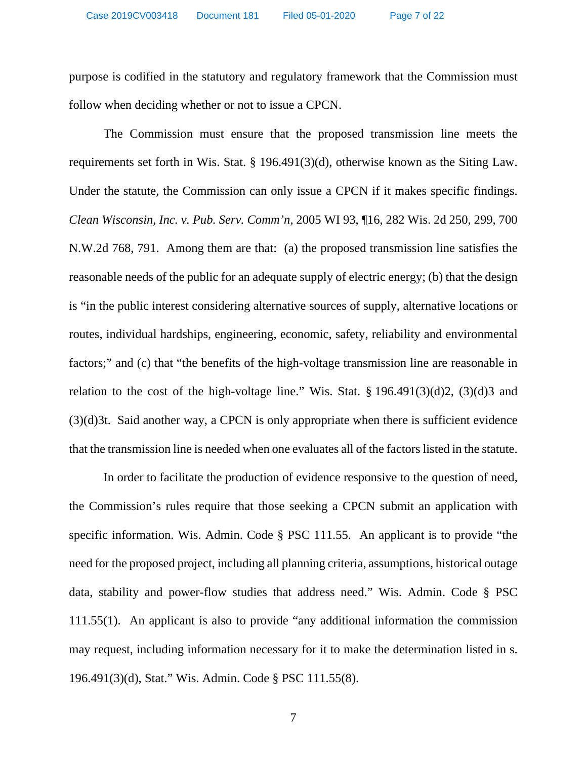purpose is codified in the statutory and regulatory framework that the Commission must follow when deciding whether or not to issue a CPCN.

 The Commission must ensure that the proposed transmission line meets the requirements set forth in Wis. Stat. § 196.491(3)(d), otherwise known as the Siting Law. Under the statute, the Commission can only issue a CPCN if it makes specific findings. *Clean Wisconsin, Inc. v. Pub. Serv. Comm'n*, 2005 WI 93, ¶16, 282 Wis. 2d 250, 299, 700 N.W.2d 768, 791. Among them are that: (a) the proposed transmission line satisfies the reasonable needs of the public for an adequate supply of electric energy; (b) that the design is "in the public interest considering alternative sources of supply, alternative locations or routes, individual hardships, engineering, economic, safety, reliability and environmental factors;" and (c) that "the benefits of the high-voltage transmission line are reasonable in relation to the cost of the high-voltage line." Wis. Stat.  $\S 196.491(3)(d)2$ ,  $(3)(d)3$  and (3)(d)3t. Said another way, a CPCN is only appropriate when there is sufficient evidence that the transmission line is needed when one evaluates all of the factors listed in the statute.

 In order to facilitate the production of evidence responsive to the question of need, the Commission's rules require that those seeking a CPCN submit an application with specific information. Wis. Admin. Code § PSC 111.55. An applicant is to provide "the need for the proposed project, including all planning criteria, assumptions, historical outage data, stability and power-flow studies that address need." Wis. Admin. Code § PSC 111.55(1). An applicant is also to provide "any additional information the commission may request, including information necessary for it to make the determination listed in s. 196.491(3)(d), Stat." Wis. Admin. Code § PSC 111.55(8).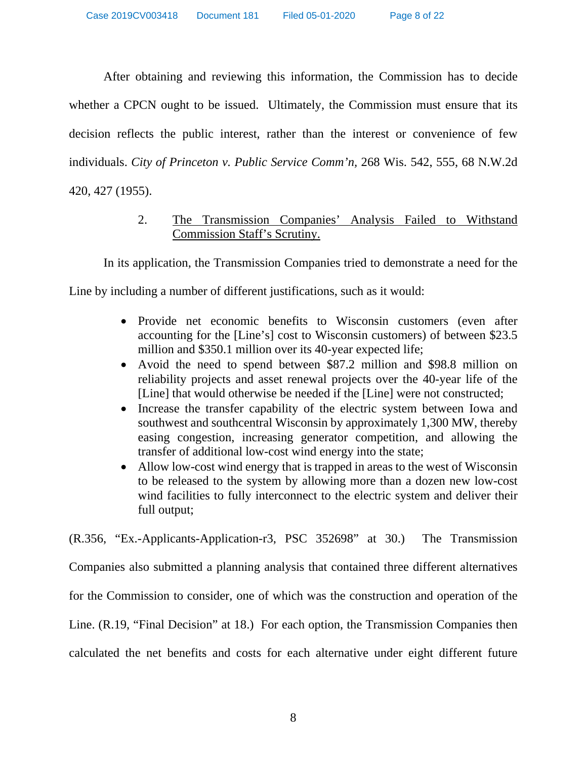After obtaining and reviewing this information, the Commission has to decide whether a CPCN ought to be issued. Ultimately, the Commission must ensure that its decision reflects the public interest, rather than the interest or convenience of few individuals. *City of Princeton v. Public Service Comm'n,* 268 Wis. 542, 555, 68 N.W.2d 420, 427 (1955).

# 2. The Transmission Companies' Analysis Failed to Withstand Commission Staff's Scrutiny.

In its application, the Transmission Companies tried to demonstrate a need for the

Line by including a number of different justifications, such as it would:

- Provide net economic benefits to Wisconsin customers (even after accounting for the [Line's] cost to Wisconsin customers) of between \$23.5 million and \$350.1 million over its 40-year expected life;
- Avoid the need to spend between \$87.2 million and \$98.8 million on reliability projects and asset renewal projects over the 40-year life of the [Line] that would otherwise be needed if the [Line] were not constructed;
- Increase the transfer capability of the electric system between Iowa and southwest and southcentral Wisconsin by approximately 1,300 MW, thereby easing congestion, increasing generator competition, and allowing the transfer of additional low-cost wind energy into the state;
- Allow low-cost wind energy that is trapped in areas to the west of Wisconsin to be released to the system by allowing more than a dozen new low-cost wind facilities to fully interconnect to the electric system and deliver their full output;

(R.356, "Ex.-Applicants-Application-r3, PSC 352698" at 30.) The Transmission Companies also submitted a planning analysis that contained three different alternatives for the Commission to consider, one of which was the construction and operation of the Line. (R.19, "Final Decision" at 18.) For each option, the Transmission Companies then calculated the net benefits and costs for each alternative under eight different future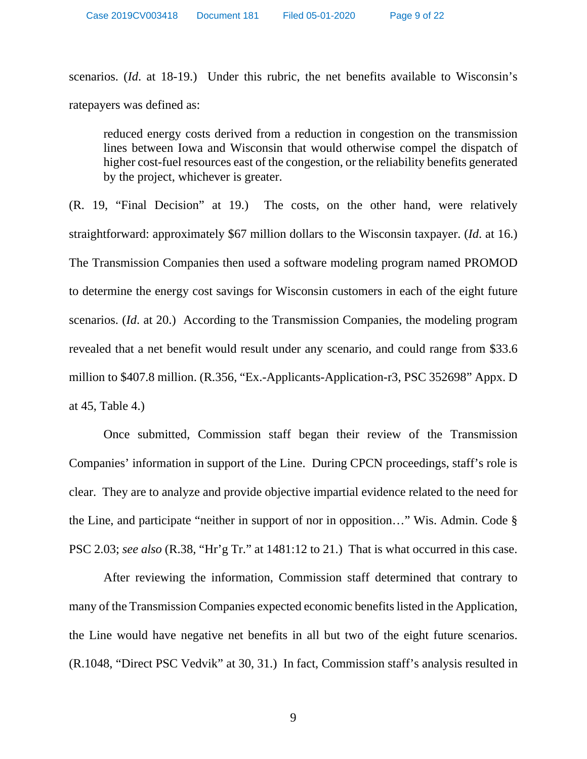scenarios. (*Id*. at 18-19.) Under this rubric, the net benefits available to Wisconsin's ratepayers was defined as:

reduced energy costs derived from a reduction in congestion on the transmission lines between Iowa and Wisconsin that would otherwise compel the dispatch of higher cost-fuel resources east of the congestion, or the reliability benefits generated by the project, whichever is greater.

(R. 19, "Final Decision" at 19.) The costs, on the other hand, were relatively straightforward: approximately \$67 million dollars to the Wisconsin taxpayer. (*Id*. at 16.) The Transmission Companies then used a software modeling program named PROMOD to determine the energy cost savings for Wisconsin customers in each of the eight future scenarios. (*Id*. at 20.) According to the Transmission Companies, the modeling program revealed that a net benefit would result under any scenario, and could range from \$33.6 million to \$407.8 million. (R.356, "Ex.-Applicants-Application-r3, PSC 352698" Appx. D at 45, Table 4.)

Once submitted, Commission staff began their review of the Transmission Companies' information in support of the Line. During CPCN proceedings, staff's role is clear. They are to analyze and provide objective impartial evidence related to the need for the Line, and participate "neither in support of nor in opposition…" Wis. Admin. Code § PSC 2.03; *see also* (R.38, "Hr'g Tr." at 1481:12 to 21.) That is what occurred in this case.

After reviewing the information, Commission staff determined that contrary to many of the Transmission Companies expected economic benefits listed in the Application, the Line would have negative net benefits in all but two of the eight future scenarios. (R.1048, "Direct PSC Vedvik" at 30, 31.) In fact, Commission staff's analysis resulted in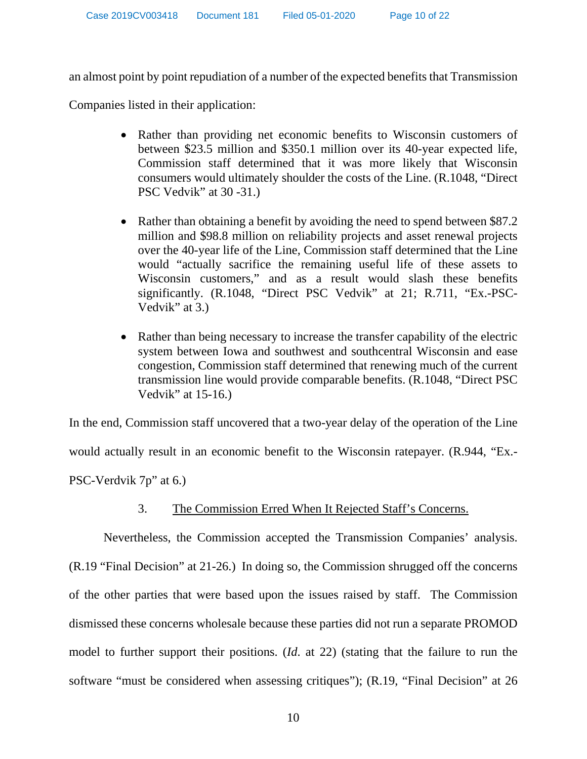an almost point by point repudiation of a number of the expected benefits that Transmission

Companies listed in their application:

- Rather than providing net economic benefits to Wisconsin customers of between \$23.5 million and \$350.1 million over its 40-year expected life, Commission staff determined that it was more likely that Wisconsin consumers would ultimately shoulder the costs of the Line. (R.1048, "Direct PSC Vedvik" at 30 -31.)
- Rather than obtaining a benefit by avoiding the need to spend between \$87.2 million and \$98.8 million on reliability projects and asset renewal projects over the 40-year life of the Line, Commission staff determined that the Line would "actually sacrifice the remaining useful life of these assets to Wisconsin customers," and as a result would slash these benefits significantly. (R.1048, "Direct PSC Vedvik" at 21; R.711, "Ex.-PSC-Vedvik" at 3.)
- Rather than being necessary to increase the transfer capability of the electric system between Iowa and southwest and southcentral Wisconsin and ease congestion, Commission staff determined that renewing much of the current transmission line would provide comparable benefits. (R.1048, "Direct PSC Vedvik" at 15-16.)

In the end, Commission staff uncovered that a two-year delay of the operation of the Line would actually result in an economic benefit to the Wisconsin ratepayer. (R.944, "Ex.- PSC-Verdvik 7p" at 6.)

# 3. The Commission Erred When It Rejected Staff's Concerns.

Nevertheless, the Commission accepted the Transmission Companies' analysis. (R.19 "Final Decision" at 21-26.) In doing so, the Commission shrugged off the concerns of the other parties that were based upon the issues raised by staff. The Commission dismissed these concerns wholesale because these parties did not run a separate PROMOD model to further support their positions. (*Id*. at 22) (stating that the failure to run the software "must be considered when assessing critiques"); (R.19, "Final Decision" at 26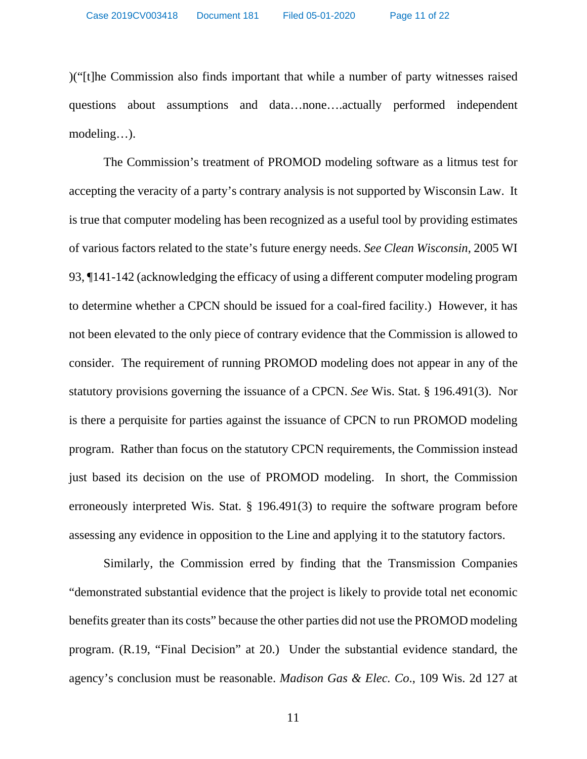)("[t]he Commission also finds important that while a number of party witnesses raised questions about assumptions and data…none….actually performed independent modeling…).

The Commission's treatment of PROMOD modeling software as a litmus test for accepting the veracity of a party's contrary analysis is not supported by Wisconsin Law. It is true that computer modeling has been recognized as a useful tool by providing estimates of various factors related to the state's future energy needs. *See Clean Wisconsin*, 2005 WI 93, ¶141-142 (acknowledging the efficacy of using a different computer modeling program to determine whether a CPCN should be issued for a coal-fired facility.) However, it has not been elevated to the only piece of contrary evidence that the Commission is allowed to consider. The requirement of running PROMOD modeling does not appear in any of the statutory provisions governing the issuance of a CPCN. *See* Wis. Stat. § 196.491(3). Nor is there a perquisite for parties against the issuance of CPCN to run PROMOD modeling program. Rather than focus on the statutory CPCN requirements, the Commission instead just based its decision on the use of PROMOD modeling. In short, the Commission erroneously interpreted Wis. Stat. § 196.491(3) to require the software program before assessing any evidence in opposition to the Line and applying it to the statutory factors.

Similarly, the Commission erred by finding that the Transmission Companies "demonstrated substantial evidence that the project is likely to provide total net economic benefits greater than its costs" because the other parties did not use the PROMOD modeling program. (R.19, "Final Decision" at 20.) Under the substantial evidence standard, the agency's conclusion must be reasonable. *Madison Gas & Elec. Co*., 109 Wis. 2d 127 at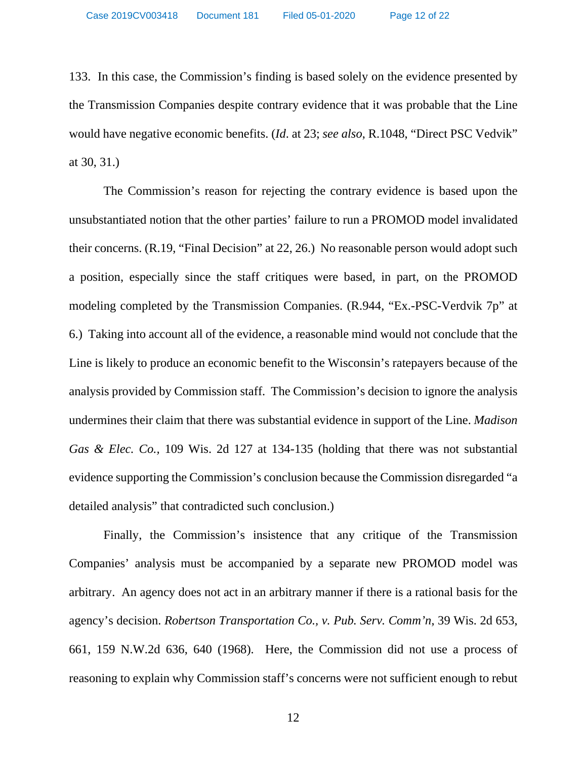Case 2019CV003418 Document 181 Filed 05-01-2020 Page 12 of 22

133. In this case, the Commission's finding is based solely on the evidence presented by the Transmission Companies despite contrary evidence that it was probable that the Line would have negative economic benefits. (*Id*. at 23; *see also*, R.1048, "Direct PSC Vedvik" at 30, 31.)

The Commission's reason for rejecting the contrary evidence is based upon the unsubstantiated notion that the other parties' failure to run a PROMOD model invalidated their concerns. (R.19, "Final Decision" at 22, 26.) No reasonable person would adopt such a position, especially since the staff critiques were based, in part, on the PROMOD modeling completed by the Transmission Companies. (R.944, "Ex.-PSC-Verdvik 7p" at 6.) Taking into account all of the evidence, a reasonable mind would not conclude that the Line is likely to produce an economic benefit to the Wisconsin's ratepayers because of the analysis provided by Commission staff. The Commission's decision to ignore the analysis undermines their claim that there was substantial evidence in support of the Line. *Madison Gas & Elec. Co.,* 109 Wis. 2d 127 at 134-135 (holding that there was not substantial evidence supporting the Commission's conclusion because the Commission disregarded "a detailed analysis" that contradicted such conclusion.)

Finally, the Commission's insistence that any critique of the Transmission Companies' analysis must be accompanied by a separate new PROMOD model was arbitrary. An agency does not act in an arbitrary manner if there is a rational basis for the agency's decision. *Robertson Transportation Co., v. Pub. Serv. Comm'n*, 39 Wis. 2d 653, 661, 159 N.W.2d 636, 640 (1968). Here, the Commission did not use a process of reasoning to explain why Commission staff's concerns were not sufficient enough to rebut

12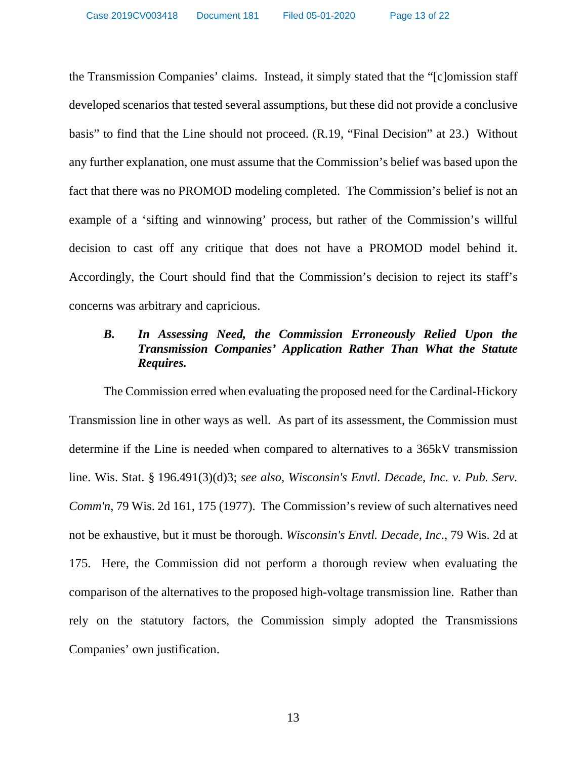the Transmission Companies' claims. Instead, it simply stated that the "[c]omission staff developed scenarios that tested several assumptions, but these did not provide a conclusive basis" to find that the Line should not proceed. (R.19, "Final Decision" at 23.) Without any further explanation, one must assume that the Commission's belief was based upon the fact that there was no PROMOD modeling completed. The Commission's belief is not an example of a 'sifting and winnowing' process, but rather of the Commission's willful decision to cast off any critique that does not have a PROMOD model behind it. Accordingly, the Court should find that the Commission's decision to reject its staff's concerns was arbitrary and capricious.

# *B. In Assessing Need, the Commission Erroneously Relied Upon the Transmission Companies' Application Rather Than What the Statute Requires.*

The Commission erred when evaluating the proposed need for the Cardinal-Hickory Transmission line in other ways as well. As part of its assessment, the Commission must determine if the Line is needed when compared to alternatives to a 365kV transmission line. Wis. Stat. § 196.491(3)(d)3; *see also, Wisconsin's Envtl. Decade, Inc. v. Pub. Serv. Comm'n*, 79 Wis. 2d 161, 175 (1977). The Commission's review of such alternatives need not be exhaustive, but it must be thorough. *Wisconsin's Envtl. Decade, Inc*., 79 Wis. 2d at 175. Here, the Commission did not perform a thorough review when evaluating the comparison of the alternatives to the proposed high-voltage transmission line. Rather than rely on the statutory factors, the Commission simply adopted the Transmissions Companies' own justification.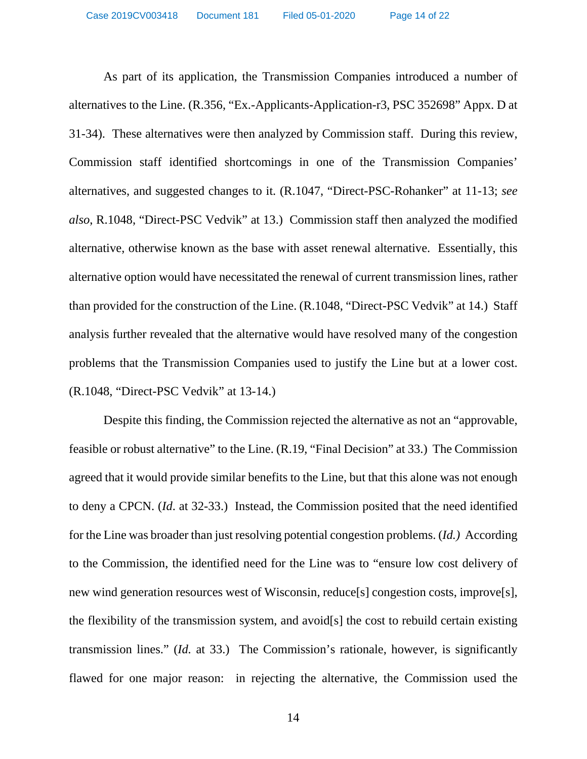As part of its application, the Transmission Companies introduced a number of alternatives to the Line. (R.356, "Ex.-Applicants-Application-r3, PSC 352698" Appx. D at 31-34). These alternatives were then analyzed by Commission staff. During this review, Commission staff identified shortcomings in one of the Transmission Companies' alternatives, and suggested changes to it. (R.1047, "Direct-PSC-Rohanker" at 11-13; *see also*, R.1048, "Direct-PSC Vedvik" at 13.) Commission staff then analyzed the modified alternative, otherwise known as the base with asset renewal alternative. Essentially, this alternative option would have necessitated the renewal of current transmission lines, rather than provided for the construction of the Line. (R.1048, "Direct-PSC Vedvik" at 14.) Staff analysis further revealed that the alternative would have resolved many of the congestion problems that the Transmission Companies used to justify the Line but at a lower cost. (R.1048, "Direct-PSC Vedvik" at 13-14.)

Despite this finding, the Commission rejected the alternative as not an "approvable, feasible or robust alternative" to the Line. (R.19, "Final Decision" at 33.) The Commission agreed that it would provide similar benefits to the Line, but that this alone was not enough to deny a CPCN. (*Id*. at 32-33.) Instead, the Commission posited that the need identified for the Line was broader than just resolving potential congestion problems. (*Id.)* According to the Commission, the identified need for the Line was to "ensure low cost delivery of new wind generation resources west of Wisconsin, reduce[s] congestion costs, improve[s], the flexibility of the transmission system, and avoid[s] the cost to rebuild certain existing transmission lines." (*Id.* at 33.) The Commission's rationale, however, is significantly flawed for one major reason: in rejecting the alternative, the Commission used the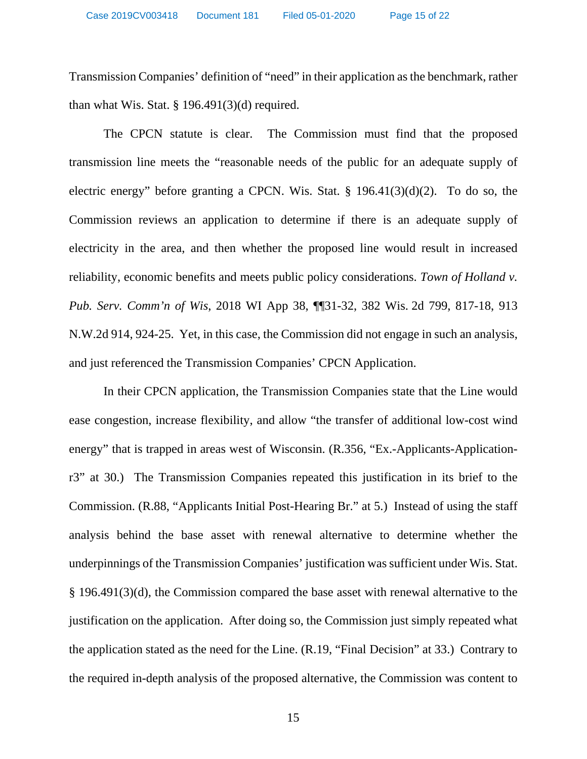Transmission Companies' definition of "need" in their application as the benchmark, rather than what Wis. Stat.  $\S$  196.491(3)(d) required.

The CPCN statute is clear. The Commission must find that the proposed transmission line meets the "reasonable needs of the public for an adequate supply of electric energy" before granting a CPCN. Wis. Stat. § 196.41(3)(d)(2). To do so, the Commission reviews an application to determine if there is an adequate supply of electricity in the area, and then whether the proposed line would result in increased reliability, economic benefits and meets public policy considerations. *Town of Holland v. Pub. Serv. Comm'n of Wis*, 2018 WI App 38, ¶¶31-32, 382 Wis. 2d 799, 817-18, 913 N.W.2d 914, 924-25. Yet, in this case, the Commission did not engage in such an analysis, and just referenced the Transmission Companies' CPCN Application.

In their CPCN application, the Transmission Companies state that the Line would ease congestion, increase flexibility, and allow "the transfer of additional low-cost wind energy" that is trapped in areas west of Wisconsin. (R.356, "Ex.-Applicants-Applicationr3" at 30.) The Transmission Companies repeated this justification in its brief to the Commission. (R.88, "Applicants Initial Post-Hearing Br." at 5.) Instead of using the staff analysis behind the base asset with renewal alternative to determine whether the underpinnings of the Transmission Companies' justification was sufficient under Wis. Stat. § 196.491(3)(d), the Commission compared the base asset with renewal alternative to the justification on the application. After doing so, the Commission just simply repeated what the application stated as the need for the Line. (R.19, "Final Decision" at 33.) Contrary to the required in-depth analysis of the proposed alternative, the Commission was content to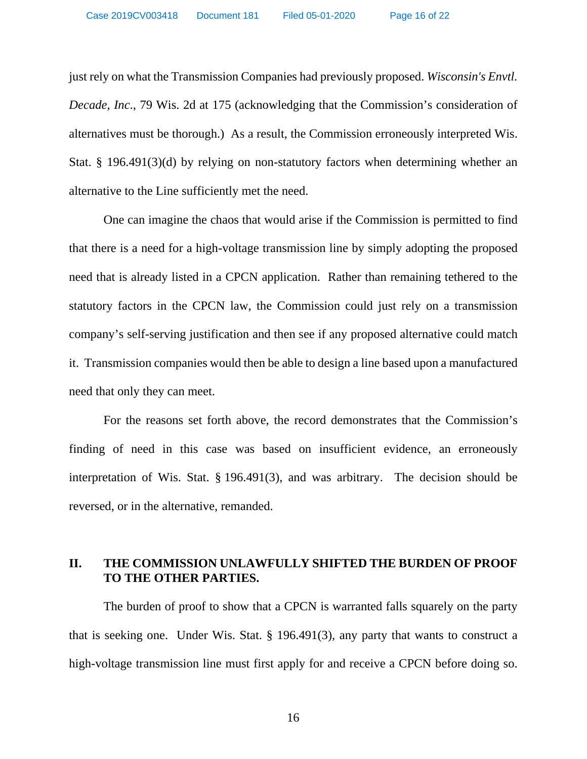just rely on what the Transmission Companies had previously proposed. *Wisconsin's Envtl. Decade, Inc*., 79 Wis. 2d at 175 (acknowledging that the Commission's consideration of alternatives must be thorough.) As a result, the Commission erroneously interpreted Wis. Stat. § 196.491(3)(d) by relying on non-statutory factors when determining whether an alternative to the Line sufficiently met the need.

One can imagine the chaos that would arise if the Commission is permitted to find that there is a need for a high-voltage transmission line by simply adopting the proposed need that is already listed in a CPCN application. Rather than remaining tethered to the statutory factors in the CPCN law, the Commission could just rely on a transmission company's self-serving justification and then see if any proposed alternative could match it. Transmission companies would then be able to design a line based upon a manufactured need that only they can meet.

For the reasons set forth above, the record demonstrates that the Commission's finding of need in this case was based on insufficient evidence, an erroneously interpretation of Wis. Stat. § 196.491(3), and was arbitrary. The decision should be reversed, or in the alternative, remanded.

## **II. THE COMMISSION UNLAWFULLY SHIFTED THE BURDEN OF PROOF TO THE OTHER PARTIES.**

 The burden of proof to show that a CPCN is warranted falls squarely on the party that is seeking one. Under Wis. Stat. § 196.491(3), any party that wants to construct a high-voltage transmission line must first apply for and receive a CPCN before doing so.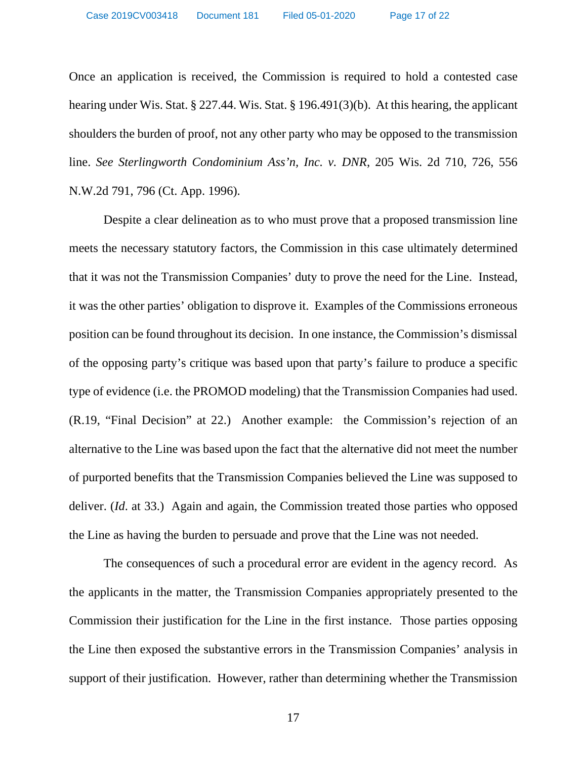Once an application is received, the Commission is required to hold a contested case hearing under Wis. Stat. § 227.44. Wis. Stat. § 196.491(3)(b). At this hearing, the applicant shoulders the burden of proof, not any other party who may be opposed to the transmission line. *See Sterlingworth Condominium Ass'n, Inc. v. DNR*, 205 Wis. 2d 710, 726, 556 N.W.2d 791, 796 (Ct. App. 1996).

Despite a clear delineation as to who must prove that a proposed transmission line meets the necessary statutory factors, the Commission in this case ultimately determined that it was not the Transmission Companies' duty to prove the need for the Line. Instead, it was the other parties' obligation to disprove it. Examples of the Commissions erroneous position can be found throughout its decision. In one instance, the Commission's dismissal of the opposing party's critique was based upon that party's failure to produce a specific type of evidence (i.e. the PROMOD modeling) that the Transmission Companies had used. (R.19, "Final Decision" at 22.) Another example: the Commission's rejection of an alternative to the Line was based upon the fact that the alternative did not meet the number of purported benefits that the Transmission Companies believed the Line was supposed to deliver. *(Id.* at 33.) Again and again, the Commission treated those parties who opposed the Line as having the burden to persuade and prove that the Line was not needed.

The consequences of such a procedural error are evident in the agency record. As the applicants in the matter, the Transmission Companies appropriately presented to the Commission their justification for the Line in the first instance. Those parties opposing the Line then exposed the substantive errors in the Transmission Companies' analysis in support of their justification. However, rather than determining whether the Transmission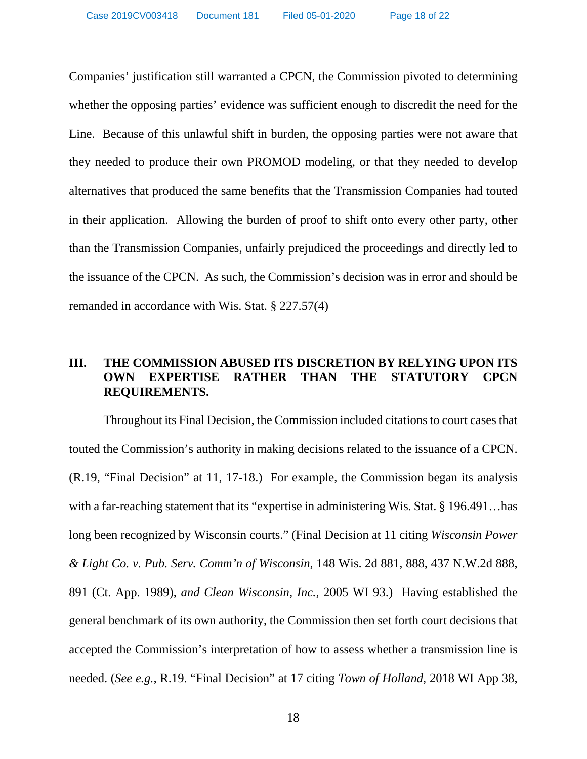Companies' justification still warranted a CPCN, the Commission pivoted to determining whether the opposing parties' evidence was sufficient enough to discredit the need for the Line. Because of this unlawful shift in burden, the opposing parties were not aware that they needed to produce their own PROMOD modeling, or that they needed to develop alternatives that produced the same benefits that the Transmission Companies had touted in their application. Allowing the burden of proof to shift onto every other party, other than the Transmission Companies, unfairly prejudiced the proceedings and directly led to the issuance of the CPCN. As such, the Commission's decision was in error and should be remanded in accordance with Wis. Stat. § 227.57(4)

# **III. THE COMMISSION ABUSED ITS DISCRETION BY RELYING UPON ITS OWN EXPERTISE RATHER THAN THE STATUTORY CPCN REQUIREMENTS.**

Throughout its Final Decision, the Commission included citations to court cases that touted the Commission's authority in making decisions related to the issuance of a CPCN. (R.19, "Final Decision" at 11, 17-18.) For example, the Commission began its analysis with a far-reaching statement that its "expertise in administering Wis. Stat. § 196.491...has long been recognized by Wisconsin courts." (Final Decision at 11 citing *Wisconsin Power & Light Co. v. Pub. Serv. Comm'n of Wisconsin*, 148 Wis. 2d 881, 888, 437 N.W.2d 888, 891 (Ct. App. 1989), *and Clean Wisconsin, Inc.,* 2005 WI 93.) Having established the general benchmark of its own authority, the Commission then set forth court decisions that accepted the Commission's interpretation of how to assess whether a transmission line is needed. (*See e.g.,* R.19. "Final Decision" at 17 citing *Town of Holland*, 2018 WI App 38,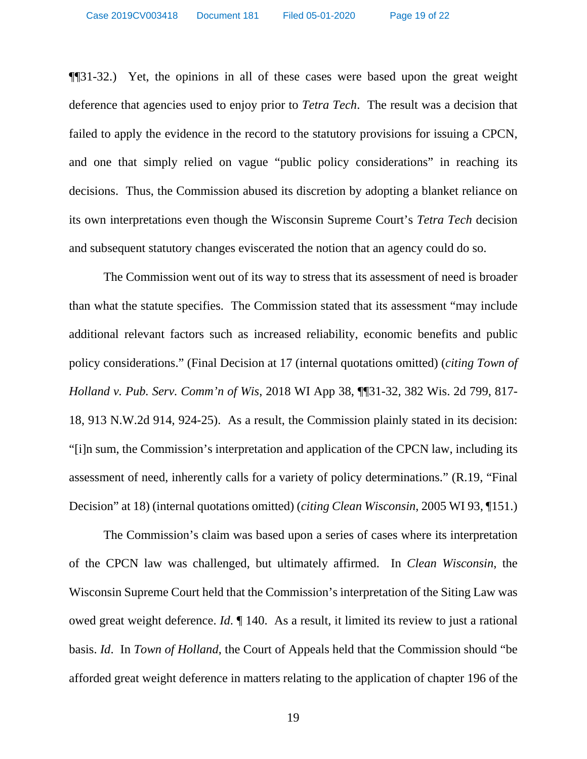¶¶31-32.) Yet, the opinions in all of these cases were based upon the great weight deference that agencies used to enjoy prior to *Tetra Tech*. The result was a decision that failed to apply the evidence in the record to the statutory provisions for issuing a CPCN, and one that simply relied on vague "public policy considerations" in reaching its decisions. Thus, the Commission abused its discretion by adopting a blanket reliance on its own interpretations even though the Wisconsin Supreme Court's *Tetra Tech* decision and subsequent statutory changes eviscerated the notion that an agency could do so.

The Commission went out of its way to stress that its assessment of need is broader than what the statute specifies. The Commission stated that its assessment "may include additional relevant factors such as increased reliability, economic benefits and public policy considerations." (Final Decision at 17 (internal quotations omitted) (*citing Town of Holland v. Pub. Serv. Comm'n of Wis*, 2018 WI App 38, ¶¶31-32, 382 Wis. 2d 799, 817- 18, 913 N.W.2d 914, 924-25). As a result, the Commission plainly stated in its decision: "[i]n sum, the Commission's interpretation and application of the CPCN law, including its assessment of need, inherently calls for a variety of policy determinations." (R.19, "Final Decision" at 18) (internal quotations omitted) (*citing Clean Wisconsin*, 2005 WI 93, ¶151.)

The Commission's claim was based upon a series of cases where its interpretation of the CPCN law was challenged, but ultimately affirmed. In *Clean Wisconsin*, the Wisconsin Supreme Court held that the Commission's interpretation of the Siting Law was owed great weight deference. *Id*. ¶ 140. As a result, it limited its review to just a rational basis. *Id*. In *Town of Holland*, the Court of Appeals held that the Commission should "be afforded great weight deference in matters relating to the application of chapter 196 of the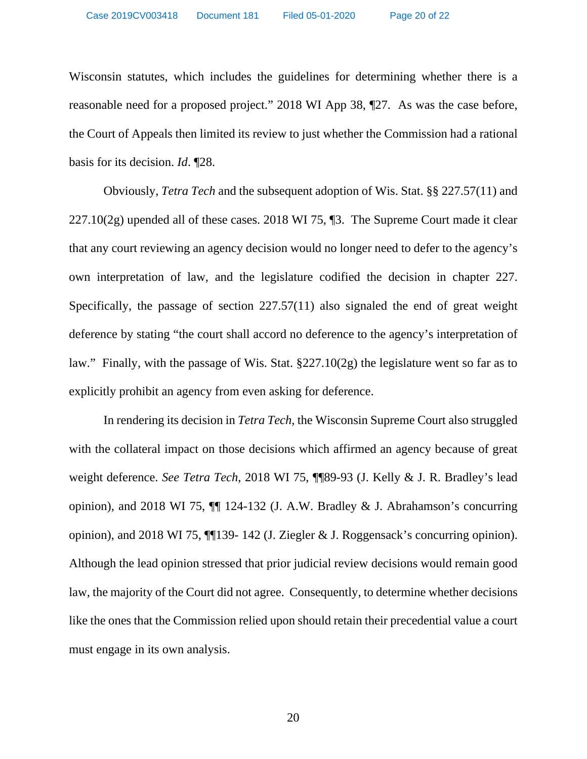Wisconsin statutes, which includes the guidelines for determining whether there is a reasonable need for a proposed project." 2018 WI App 38, ¶27. As was the case before, the Court of Appeals then limited its review to just whether the Commission had a rational basis for its decision. *Id*. ¶28.

Obviously, *Tetra Tech* and the subsequent adoption of Wis. Stat. §§ 227.57(11) and 227.10(2g) upended all of these cases. 2018 WI 75, ¶3. The Supreme Court made it clear that any court reviewing an agency decision would no longer need to defer to the agency's own interpretation of law, and the legislature codified the decision in chapter 227. Specifically, the passage of section 227.57(11) also signaled the end of great weight deference by stating "the court shall accord no deference to the agency's interpretation of law." Finally, with the passage of Wis. Stat. §227.10(2g) the legislature went so far as to explicitly prohibit an agency from even asking for deference.

In rendering its decision in *Tetra Tech*, the Wisconsin Supreme Court also struggled with the collateral impact on those decisions which affirmed an agency because of great weight deference. *See Tetra Tech*, 2018 WI 75, ¶¶89-93 (J. Kelly & J. R. Bradley's lead opinion), and 2018 WI 75,  $\P$  124-132 (J. A.W. Bradley & J. Abrahamson's concurring opinion), and 2018 WI 75, ¶¶139- 142 (J. Ziegler & J. Roggensack's concurring opinion). Although the lead opinion stressed that prior judicial review decisions would remain good law, the majority of the Court did not agree. Consequently, to determine whether decisions like the ones that the Commission relied upon should retain their precedential value a court must engage in its own analysis.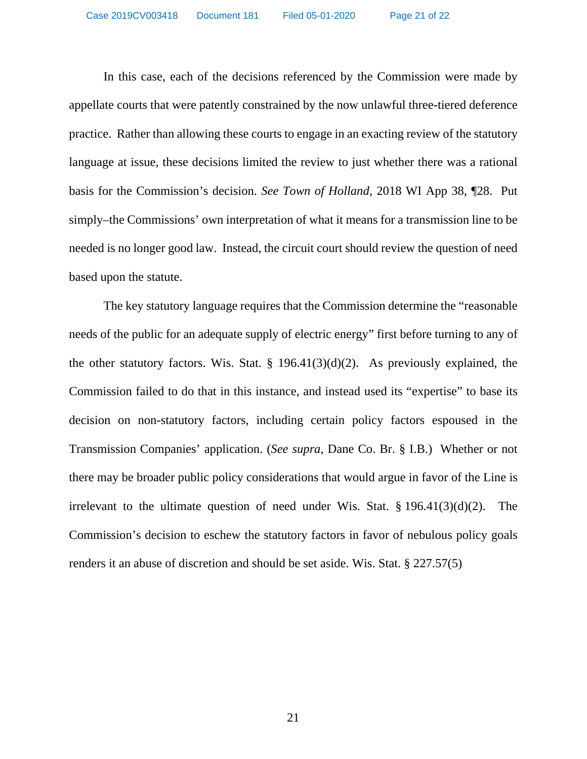In this case, each of the decisions referenced by the Commission were made by appellate courts that were patently constrained by the now unlawful three-tiered deference practice. Rather than allowing these courts to engage in an exacting review of the statutory language at issue, these decisions limited the review to just whether there was a rational basis for the Commission's decision. *See Town of Holland*, 2018 WI App 38, ¶28. Put simply–the Commissions' own interpretation of what it means for a transmission line to be needed is no longer good law. Instead, the circuit court should review the question of need based upon the statute.

The key statutory language requires that the Commission determine the "reasonable needs of the public for an adequate supply of electric energy" first before turning to any of the other statutory factors. Wis. Stat. § 196.41(3)(d)(2). As previously explained, the Commission failed to do that in this instance, and instead used its "expertise" to base its decision on non-statutory factors, including certain policy factors espoused in the Transmission Companies' application. (*See supra*, Dane Co. Br. § I.B.) Whether or not there may be broader public policy considerations that would argue in favor of the Line is irrelevant to the ultimate question of need under Wis. Stat. § 196.41(3)(d)(2). The Commission's decision to eschew the statutory factors in favor of nebulous policy goals renders it an abuse of discretion and should be set aside. Wis. Stat. § 227.57(5)